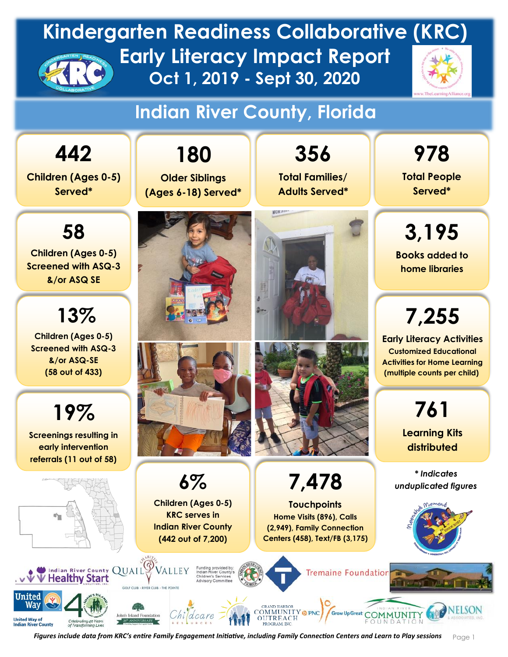#### **Indian River County, Florida**

**Children (Ages 0-5) Served\***

**442**

**58 Children (Ages 0-5) Screened with ASQ-3 &/or ASQ SE** 

**13%**

**Children (Ages 0-5) Screened with ASQ-3 &/or ASQ-SE (58 out of 433)**

**19% Screenings resulting in early intervention referrals (11 out of 58)**



Waง

**United Way of**<br>Indian River Co



**6%**

**Children (Ages 0-5) KRC serves in** 

**Older Siblings (Ages 6-18) Served\***

**356 Total Families/ Adults Served\***

**MOK<sub>21</sub>** 

**7,478**

**Touchpoints** 

**978**

**Total People Served\*** 

**3,195 Books added to home libraries**

**7,255**

**Early Literacy Activities Customized Educational Activities for Home Learning (multiple counts per child)**

> **761 Learning Kits distributed**

*\* Indicates unduplicated figures*



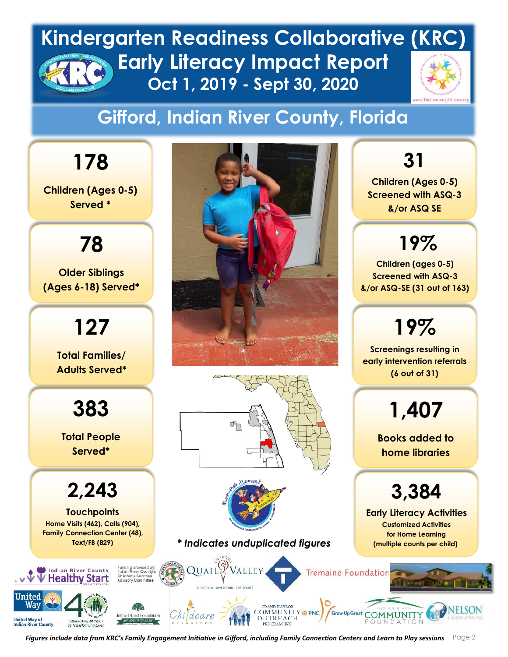## **Gifford, Indian River County, Florida**

**178 Children (Ages 0-5) Served \* 78 Older Siblings (Ages 6-18) Served\* 127 Total Families/ Adults Served\* 383**  $\mathbb{S}_{\Box}$ **Total People Served\* 2,243 Touchpoints Home Visits (462), Calls (904), Family Connection Center (48), Text/FB (829)** $QUAL$ Indian River County VALLEY . v V V Healthy Start Initer

ฟลา

**United Way of**<br>Indian River Co



*\* Indicates unduplicated figures*

**31 Children (Ages 0-5) Screened with ASQ-3** 

**&/or ASQ SE** 

**19%**

**Children (ages 0-5) Screened with ASQ-3 &/or ASQ-SE (31 out of 163)**

**19%**

**Screenings resulting in early intervention referrals (6 out of 31)**

**1,407**

**Books added to home libraries**

**3,384**

**Early Literacy Activities Customized Activities for Home Learning (multiple counts per child)**

**Tremaine Foundation** 

**Grow Up Great** 

 $\epsilon$ Figures include data from KRC's Family Engagement Initiative in Gifford, including Family Connection Centers and Learn to Play sessions  $\,\,\,$  <code>Page 2</code>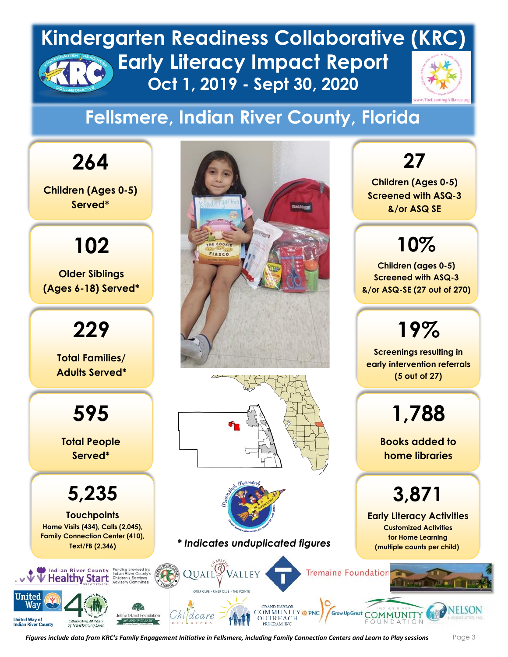### **Fellsmere, Indian River County, Florida**



**Children (Ages 0-5) Screened with ASQ-3 &/or ASQ SE** 

**27**

## **10%**

**Children (ages 0-5) Screened with ASQ-3 &/or ASQ-SE (27 out of 270)**

# **19%**

**Screenings resulting in early intervention referrals (5 out of 27)**

**1,788**

**Books added to home libraries**

# **3,871**

**Early Literacy Activities Customized Activities for Home Learning (multiple counts per child)**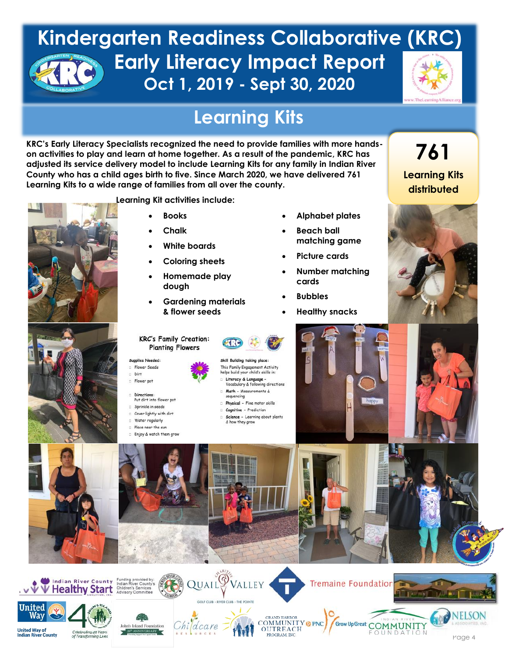

**761**

**Learning Kits distributed**

### **Learning Kits**

**KRC's Early Literacy Specialists recognized the need to provide families with more handson activities to play and learn at home together. As a result of the pandemic, KRC has adjusted its service delivery model to include Learning Kits for any family in Indian River County who has a child ages birth to five. Since March 2020, we have delivered 761 Learning Kits to a wide range of families from all over the county.** 

**Learning Kit activities include:**





- **Books** • **Chalk**
- 

**KRC's Family Creation:** 

**Planting Flowers** 

- **White boards**
- **Coloring sheets**
- **Homemade play dough**
- **Gardening materials & flower seeds**
- **Alphabet plates**
- **Beach ball matching game**
- **Picture cards**
- **Number matching cards**
- **Bubbles**
- **Healthy snacks**













Directions:

Water regularly

Put dirt into flower pot







- Literacy & Language -<br>Vocabulary & following directions Math - Measurements &
- sequencing
- Physical Fine motor skills Cognitive - Prediction
- Science Learning about plants
- & how they grow





Grow Up Great COMMUNITY

FOUNDATION











**Tremaine Foundation** 

COMMUNITY OPNC

OUTREACH



Page 4

JELSON